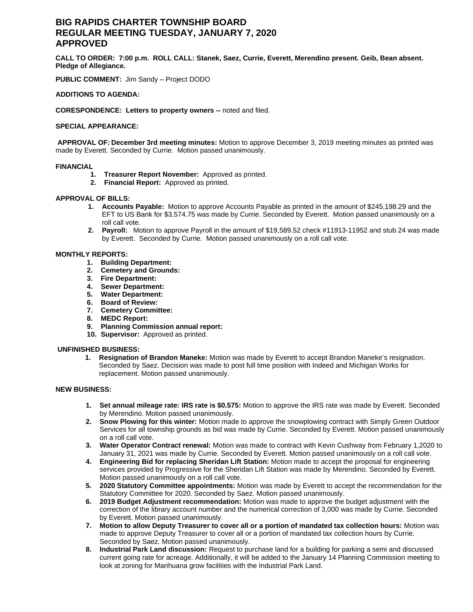# **BIG RAPIDS CHARTER TOWNSHIP BOARD REGULAR MEETING TUESDAY, JANUARY 7, 2020 APPROVED**

**CALL TO ORDER: 7:00 p.m. ROLL CALL: Stanek, Saez, Currie, Everett, Merendino present. Geib, Bean absent. Pledge of Allegiance.**

**PUBLIC COMMENT:** Jim Sandy – Project DODO

## **ADDITIONS TO AGENDA:**

**CORESPONDENCE: Letters to property owners --** noted and filed.

### **SPECIAL APPEARANCE:**

**APPROVAL OF: December 3rd meeting minutes:** Motion to approve December 3, 2019 meeting minutes as printed was made by Everett. Seconded by Currie. Motion passed unanimously.

### **FINANCIAL**

- **1. Treasurer Report November:** Approved as printed.
- **2. Financial Report:** Approved as printed.

### **APPROVAL OF BILLS:**

- **1. Accounts Payable:** Motion to approve Accounts Payable as printed in the amount of \$245,198.29 and the EFT to US Bank for \$3,574.75 was made by Currie. Seconded by Everett. Motion passed unanimously on a roll call vote.
- **2. Payroll:** Motion to approve Payroll in the amount of \$19,589.52 check #11913-11952 and stub 24 was made by Everett. Seconded by Currie. Motion passed unanimously on a roll call vote.

### **MONTHLY REPORTS:**

- **1. Building Department:**
- **2. Cemetery and Grounds:**
- **3. Fire Department:**
- **4. Sewer Department:**
- **5. Water Department:**
- **6. Board of Review:**
- **7. Cemetery Committee:**
- **8. MEDC Report:**
- **9. Planning Commission annual report:**
- **10. Supervisor:** Approved as printed.

### **UNFINISHED BUSINESS:**

**1. Resignation of Brandon Maneke:** Motion was made by Everett to accept Brandon Maneke's resignation. Seconded by Saez. Decision was made to post full time position with Indeed and Michigan Works for replacement. Motion passed unanimously.

#### **NEW BUSINESS:**

- **1. Set annual mileage rate: IRS rate is \$0.575:** Motion to approve the IRS rate was made by Everett. Seconded by Merendino. Motion passed unanimously.
- **2. Snow Plowing for this winter:** Motion made to approve the snowplowing contract with Simply Green Outdoor Services for all township grounds as bid was made by Currie. Seconded by Everett. Motion passed unanimously on a roll call vote.
- **3. Water Operator Contract renewal:** Motion was made to contract with Kevin Cushway from February 1,2020 to January 31, 2021 was made by Currie. Seconded by Everett. Motion passed unanimously on a roll call vote.
- **4. Engineering Bid for replacing Sheridan Lift Station:** Motion made to accept the proposal for engineering services provided by Progressive for the Sheridan Lift Station was made by Merendino. Seconded by Everett. Motion passed unanimously on a roll call vote.
- **5. 2020 Statutory Committee appointments:** Motion was made by Everett to accept the recommendation for the Statutory Committee for 2020. Seconded by Saez. Motion passed unanimously.
- **6. 2019 Budget Adjustment recommendation:** Motion was made to approve the budget adjustment with the correction of the library account number and the numerical correction of 3,000 was made by Currie. Seconded by Everett. Motion passed unanimously.
- **7. Motion to allow Deputy Treasurer to cover all or a portion of mandated tax collection hours:** Motion was made to approve Deputy Treasurer to cover all or a portion of mandated tax collection hours by Currie. Seconded by Saez. Motion passed unanimously.
- **8. Industrial Park Land discussion:** Request to purchase land for a building for parking a semi and discussed current going rate for acreage. Additionally, it will be added to the January 14 Planning Commission meeting to look at zoning for Marihuana grow facilities with the Industrial Park Land.